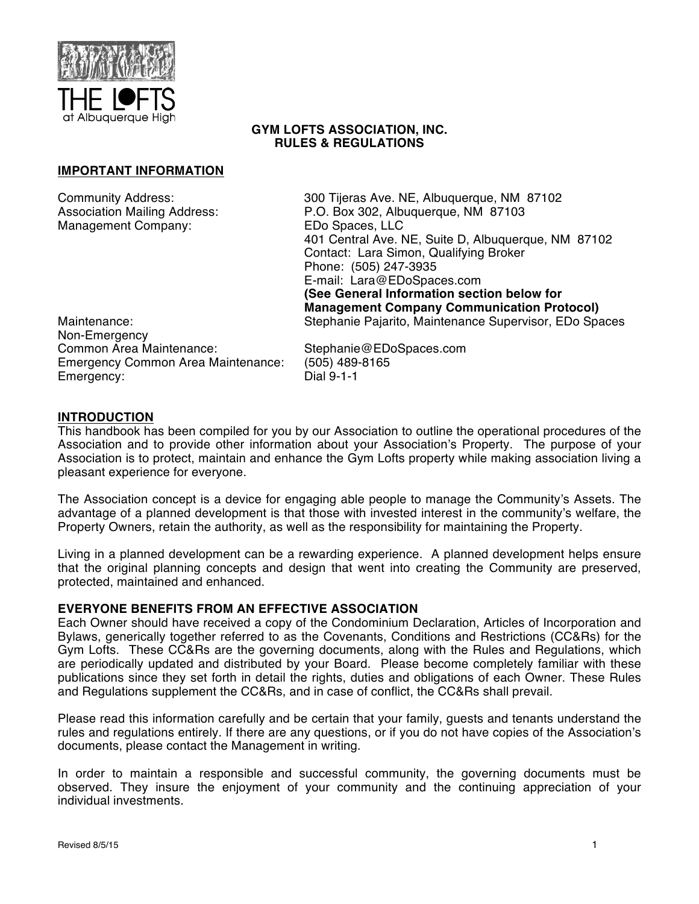

### **GYM LOFTS ASSOCIATION, INC. RULES & REGULATIONS**

### **IMPORTANT INFORMATION**

Management Company:

Community Address: 300 Tijeras Ave. NE, Albuquerque, NM 87102 Association Mailing Address: P.O. Box 302, Albuquerque, NM 87103<br>Management Company: EDo Spaces, LLC 401 Central Ave. NE, Suite D, Albuquerque, NM 87102 Contact: Lara Simon, Qualifying Broker Phone: (505) 247-3935 E-mail: Lara@EDoSpaces.com **(See General Information section below for Management Company Communication Protocol)** Maintenance: Stephanie Pajarito, Maintenance Supervisor, EDo Spaces

Non-Emergency<br>Common Area Maintenance: Emergency Common Area Maintenance: (505) 489-8165 Emergency:

Stephanie@EDoSpaces.com

### **INTRODUCTION**

This handbook has been compiled for you by our Association to outline the operational procedures of the Association and to provide other information about your Association's Property. The purpose of your Association is to protect, maintain and enhance the Gym Lofts property while making association living a pleasant experience for everyone.

The Association concept is a device for engaging able people to manage the Community's Assets. The advantage of a planned development is that those with invested interest in the community's welfare, the Property Owners, retain the authority, as well as the responsibility for maintaining the Property.

Living in a planned development can be a rewarding experience. A planned development helps ensure that the original planning concepts and design that went into creating the Community are preserved, protected, maintained and enhanced.

### **EVERYONE BENEFITS FROM AN EFFECTIVE ASSOCIATION**

Each Owner should have received a copy of the Condominium Declaration, Articles of Incorporation and Bylaws, generically together referred to as the Covenants, Conditions and Restrictions (CC&Rs) for the Gym Lofts. These CC&Rs are the governing documents, along with the Rules and Regulations, which are periodically updated and distributed by your Board. Please become completely familiar with these publications since they set forth in detail the rights, duties and obligations of each Owner. These Rules and Regulations supplement the CC&Rs, and in case of conflict, the CC&Rs shall prevail.

Please read this information carefully and be certain that your family, guests and tenants understand the rules and regulations entirely. If there are any questions, or if you do not have copies of the Association's documents, please contact the Management in writing.

In order to maintain a responsible and successful community, the governing documents must be observed. They insure the enjoyment of your community and the continuing appreciation of your individual investments.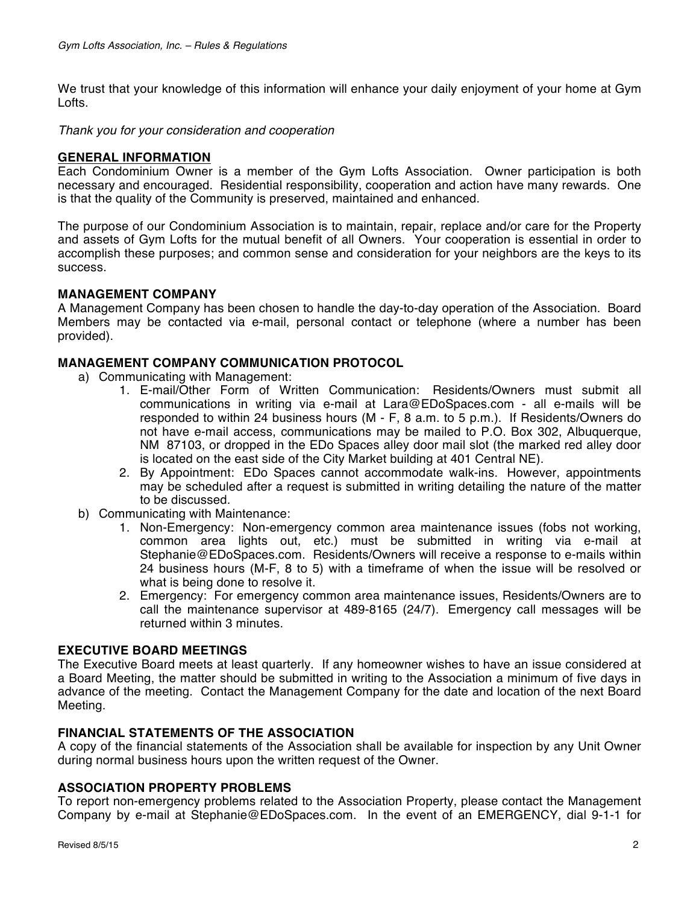We trust that your knowledge of this information will enhance your daily enjoyment of your home at Gym Lofts.

*Thank you for your consideration and cooperation* 

### **GENERAL INFORMATION**

Each Condominium Owner is a member of the Gym Lofts Association. Owner participation is both necessary and encouraged. Residential responsibility, cooperation and action have many rewards. One is that the quality of the Community is preserved, maintained and enhanced.

The purpose of our Condominium Association is to maintain, repair, replace and/or care for the Property and assets of Gym Lofts for the mutual benefit of all Owners. Your cooperation is essential in order to accomplish these purposes; and common sense and consideration for your neighbors are the keys to its success.

### **MANAGEMENT COMPANY**

A Management Company has been chosen to handle the day-to-day operation of the Association. Board Members may be contacted via e-mail, personal contact or telephone (where a number has been provided).

## **MANAGEMENT COMPANY COMMUNICATION PROTOCOL**

- a) Communicating with Management:
	- 1. E-mail/Other Form of Written Communication: Residents/Owners must submit all communications in writing via e-mail at Lara@EDoSpaces.com - all e-mails will be responded to within 24 business hours (M - F, 8 a.m. to 5 p.m.). If Residents/Owners do not have e-mail access, communications may be mailed to P.O. Box 302, Albuquerque, NM 87103, or dropped in the EDo Spaces alley door mail slot (the marked red alley door is located on the east side of the City Market building at 401 Central NE).
	- 2. By Appointment: EDo Spaces cannot accommodate walk-ins. However, appointments may be scheduled after a request is submitted in writing detailing the nature of the matter to be discussed.
- b) Communicating with Maintenance:
	- 1. Non-Emergency: Non-emergency common area maintenance issues (fobs not working, common area lights out, etc.) must be submitted in writing via e-mail at Stephanie@EDoSpaces.com. Residents/Owners will receive a response to e-mails within 24 business hours (M-F, 8 to 5) with a timeframe of when the issue will be resolved or what is being done to resolve it.
	- 2. Emergency: For emergency common area maintenance issues, Residents/Owners are to call the maintenance supervisor at 489-8165 (24/7). Emergency call messages will be returned within 3 minutes.

### **EXECUTIVE BOARD MEETINGS**

The Executive Board meets at least quarterly. If any homeowner wishes to have an issue considered at a Board Meeting, the matter should be submitted in writing to the Association a minimum of five days in advance of the meeting. Contact the Management Company for the date and location of the next Board Meeting.

## **FINANCIAL STATEMENTS OF THE ASSOCIATION**

A copy of the financial statements of the Association shall be available for inspection by any Unit Owner during normal business hours upon the written request of the Owner.

### **ASSOCIATION PROPERTY PROBLEMS**

To report non-emergency problems related to the Association Property, please contact the Management Company by e-mail at Stephanie@EDoSpaces.com. In the event of an EMERGENCY, dial 9-1-1 for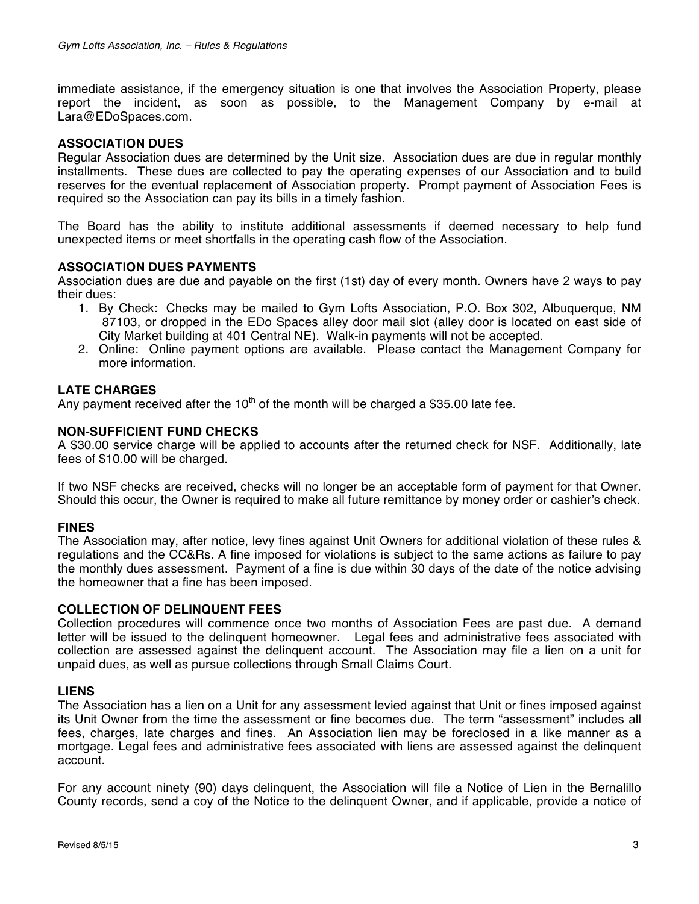immediate assistance, if the emergency situation is one that involves the Association Property, please report the incident, as soon as possible, to the Management Company by e-mail at Lara@EDoSpaces.com.

### **ASSOCIATION DUES**

Regular Association dues are determined by the Unit size. Association dues are due in regular monthly installments. These dues are collected to pay the operating expenses of our Association and to build reserves for the eventual replacement of Association property. Prompt payment of Association Fees is required so the Association can pay its bills in a timely fashion.

The Board has the ability to institute additional assessments if deemed necessary to help fund unexpected items or meet shortfalls in the operating cash flow of the Association.

#### **ASSOCIATION DUES PAYMENTS**

Association dues are due and payable on the first (1st) day of every month. Owners have 2 ways to pay their dues:

- 1. By Check: Checks may be mailed to Gym Lofts Association, P.O. Box 302, Albuquerque, NM 87103, or dropped in the EDo Spaces alley door mail slot (alley door is located on east side of City Market building at 401 Central NE). Walk-in payments will not be accepted.
- 2. Online: Online payment options are available. Please contact the Management Company for more information.

### **LATE CHARGES**

Any payment received after the 10<sup>th</sup> of the month will be charged a \$35.00 late fee.

#### **NON-SUFFICIENT FUND CHECKS**

A \$30.00 service charge will be applied to accounts after the returned check for NSF. Additionally, late fees of \$10.00 will be charged.

If two NSF checks are received, checks will no longer be an acceptable form of payment for that Owner. Should this occur, the Owner is required to make all future remittance by money order or cashier's check.

#### **FINES**

The Association may, after notice, levy fines against Unit Owners for additional violation of these rules & regulations and the CC&Rs. A fine imposed for violations is subject to the same actions as failure to pay the monthly dues assessment. Payment of a fine is due within 30 days of the date of the notice advising the homeowner that a fine has been imposed.

#### **COLLECTION OF DELINQUENT FEES**

Collection procedures will commence once two months of Association Fees are past due. A demand letter will be issued to the delinquent homeowner. Legal fees and administrative fees associated with collection are assessed against the delinquent account. The Association may file a lien on a unit for unpaid dues, as well as pursue collections through Small Claims Court.

#### **LIENS**

The Association has a lien on a Unit for any assessment levied against that Unit or fines imposed against its Unit Owner from the time the assessment or fine becomes due. The term "assessment" includes all fees, charges, late charges and fines. An Association lien may be foreclosed in a like manner as a mortgage. Legal fees and administrative fees associated with liens are assessed against the delinquent account.

For any account ninety (90) days delinquent, the Association will file a Notice of Lien in the Bernalillo County records, send a coy of the Notice to the delinquent Owner, and if applicable, provide a notice of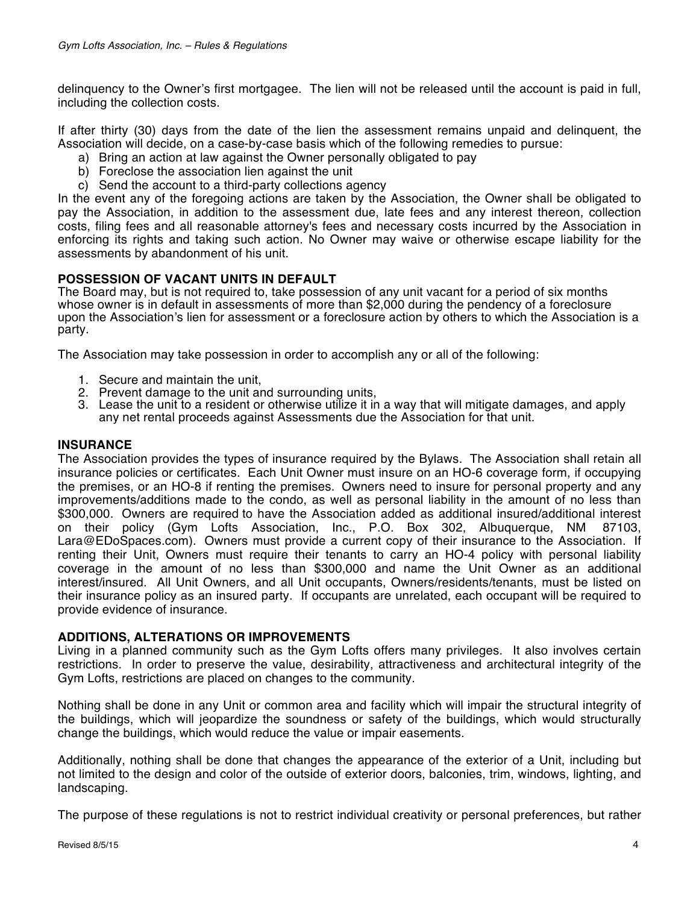delinquency to the Owner's first mortgagee. The lien will not be released until the account is paid in full, including the collection costs.

If after thirty (30) days from the date of the lien the assessment remains unpaid and delinquent, the Association will decide, on a case-by-case basis which of the following remedies to pursue:

- a) Bring an action at law against the Owner personally obligated to pay
- b) Foreclose the association lien against the unit
- c) Send the account to a third-party collections agency

In the event any of the foregoing actions are taken by the Association, the Owner shall be obligated to pay the Association, in addition to the assessment due, late fees and any interest thereon, collection costs, filing fees and all reasonable attorney's fees and necessary costs incurred by the Association in enforcing its rights and taking such action. No Owner may waive or otherwise escape liability for the assessments by abandonment of his unit.

# **POSSESSION OF VACANT UNITS IN DEFAULT**

The Board may, but is not required to, take possession of any unit vacant for a period of six months whose owner is in default in assessments of more than \$2,000 during the pendency of a foreclosure upon the Association's lien for assessment or a foreclosure action by others to which the Association is a party.

The Association may take possession in order to accomplish any or all of the following:

- 1. Secure and maintain the unit,
- 2. Prevent damage to the unit and surrounding units,
- 3. Lease the unit to a resident or otherwise utilize it in a way that will mitigate damages, and apply any net rental proceeds against Assessments due the Association for that unit.

## **INSURANCE**

The Association provides the types of insurance required by the Bylaws. The Association shall retain all insurance policies or certificates. Each Unit Owner must insure on an HO-6 coverage form, if occupying the premises, or an HO-8 if renting the premises. Owners need to insure for personal property and any improvements/additions made to the condo, as well as personal liability in the amount of no less than \$300,000. Owners are required to have the Association added as additional insured/additional interest on their policy (Gym Lofts Association, Inc., P.O. Box 302, Albuquerque, NM 87103, Lara@EDoSpaces.com). Owners must provide a current copy of their insurance to the Association. If renting their Unit, Owners must require their tenants to carry an HO-4 policy with personal liability coverage in the amount of no less than \$300,000 and name the Unit Owner as an additional interest/insured. All Unit Owners, and all Unit occupants, Owners/residents/tenants, must be listed on their insurance policy as an insured party. If occupants are unrelated, each occupant will be required to provide evidence of insurance.

### **ADDITIONS, ALTERATIONS OR IMPROVEMENTS**

Living in a planned community such as the Gym Lofts offers many privileges. It also involves certain restrictions. In order to preserve the value, desirability, attractiveness and architectural integrity of the Gym Lofts, restrictions are placed on changes to the community.

Nothing shall be done in any Unit or common area and facility which will impair the structural integrity of the buildings, which will jeopardize the soundness or safety of the buildings, which would structurally change the buildings, which would reduce the value or impair easements.

Additionally, nothing shall be done that changes the appearance of the exterior of a Unit, including but not limited to the design and color of the outside of exterior doors, balconies, trim, windows, lighting, and landscaping.

The purpose of these regulations is not to restrict individual creativity or personal preferences, but rather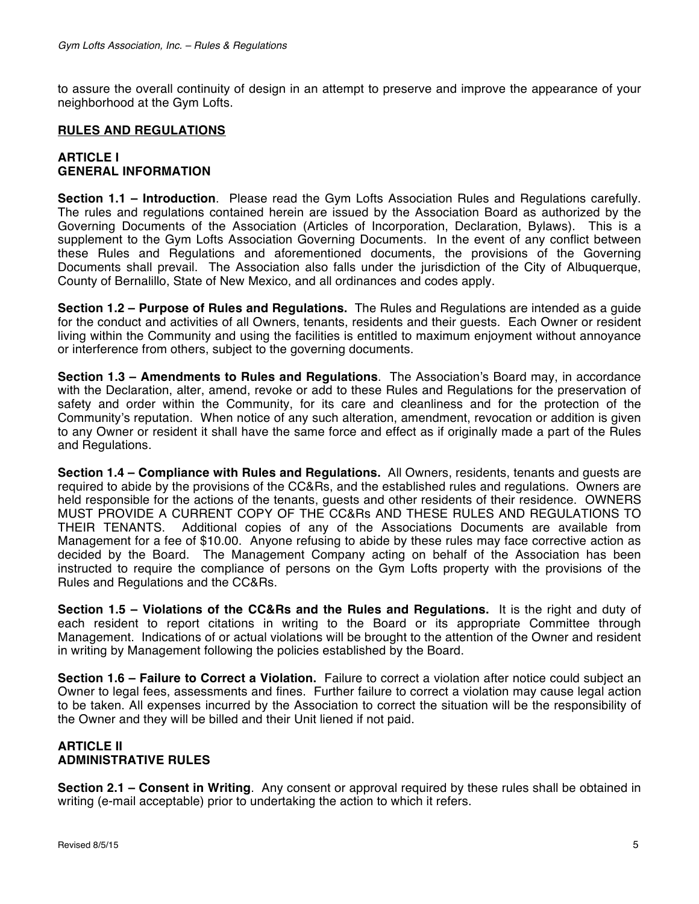to assure the overall continuity of design in an attempt to preserve and improve the appearance of your neighborhood at the Gym Lofts.

### **RULES AND REGULATIONS**

### **ARTICLE I GENERAL INFORMATION**

**Section 1.1 – Introduction**. Please read the Gym Lofts Association Rules and Regulations carefully. The rules and regulations contained herein are issued by the Association Board as authorized by the Governing Documents of the Association (Articles of Incorporation, Declaration, Bylaws). This is a supplement to the Gym Lofts Association Governing Documents. In the event of any conflict between these Rules and Regulations and aforementioned documents, the provisions of the Governing Documents shall prevail. The Association also falls under the jurisdiction of the City of Albuquerque, County of Bernalillo, State of New Mexico, and all ordinances and codes apply.

**Section 1.2 – Purpose of Rules and Regulations.** The Rules and Regulations are intended as a guide for the conduct and activities of all Owners, tenants, residents and their guests. Each Owner or resident living within the Community and using the facilities is entitled to maximum enjoyment without annoyance or interference from others, subject to the governing documents.

**Section 1.3 – Amendments to Rules and Regulations**. The Association's Board may, in accordance with the Declaration, alter, amend, revoke or add to these Rules and Regulations for the preservation of safety and order within the Community, for its care and cleanliness and for the protection of the Community's reputation. When notice of any such alteration, amendment, revocation or addition is given to any Owner or resident it shall have the same force and effect as if originally made a part of the Rules and Regulations.

**Section 1.4 – Compliance with Rules and Regulations.** All Owners, residents, tenants and guests are required to abide by the provisions of the CC&Rs, and the established rules and regulations. Owners are held responsible for the actions of the tenants, guests and other residents of their residence. OWNERS MUST PROVIDE A CURRENT COPY OF THE CC&Rs AND THESE RULES AND REGULATIONS TO THEIR TENANTS. Additional copies of any of the Associations Documents are available from Management for a fee of \$10.00. Anyone refusing to abide by these rules may face corrective action as decided by the Board. The Management Company acting on behalf of the Association has been instructed to require the compliance of persons on the Gym Lofts property with the provisions of the Rules and Regulations and the CC&Rs.

**Section 1.5 – Violations of the CC&Rs and the Rules and Regulations.** It is the right and duty of each resident to report citations in writing to the Board or its appropriate Committee through Management. Indications of or actual violations will be brought to the attention of the Owner and resident in writing by Management following the policies established by the Board.

**Section 1.6 – Failure to Correct a Violation.** Failure to correct a violation after notice could subject an Owner to legal fees, assessments and fines. Further failure to correct a violation may cause legal action to be taken. All expenses incurred by the Association to correct the situation will be the responsibility of the Owner and they will be billed and their Unit liened if not paid.

## **ARTICLE II ADMINISTRATIVE RULES**

**Section 2.1 – Consent in Writing**. Any consent or approval required by these rules shall be obtained in writing (e-mail acceptable) prior to undertaking the action to which it refers.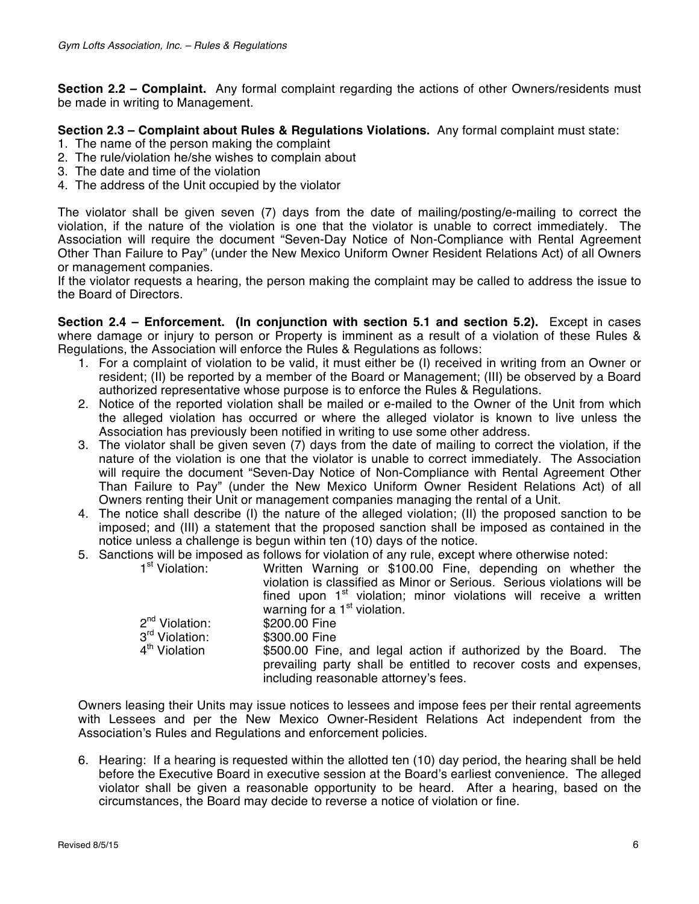**Section 2.2 – Complaint.** Any formal complaint regarding the actions of other Owners/residents must be made in writing to Management.

## **Section 2.3 – Complaint about Rules & Regulations Violations.** Any formal complaint must state:

- 1. The name of the person making the complaint
- 2. The rule/violation he/she wishes to complain about
- 3. The date and time of the violation
- 4. The address of the Unit occupied by the violator

The violator shall be given seven (7) days from the date of mailing/posting/e-mailing to correct the violation, if the nature of the violation is one that the violator is unable to correct immediately. The Association will require the document "Seven-Day Notice of Non-Compliance with Rental Agreement Other Than Failure to Pay" (under the New Mexico Uniform Owner Resident Relations Act) of all Owners or management companies.

If the violator requests a hearing, the person making the complaint may be called to address the issue to the Board of Directors.

**Section 2.4 – Enforcement. (In conjunction with section 5.1 and section 5.2).** Except in cases where damage or injury to person or Property is imminent as a result of a violation of these Rules & Regulations, the Association will enforce the Rules & Regulations as follows:

- 1. For a complaint of violation to be valid, it must either be (I) received in writing from an Owner or resident; (II) be reported by a member of the Board or Management; (III) be observed by a Board authorized representative whose purpose is to enforce the Rules & Regulations.
- 2. Notice of the reported violation shall be mailed or e-mailed to the Owner of the Unit from which the alleged violation has occurred or where the alleged violator is known to live unless the Association has previously been notified in writing to use some other address.
- 3. The violator shall be given seven (7) days from the date of mailing to correct the violation, if the nature of the violation is one that the violator is unable to correct immediately. The Association will require the document "Seven-Day Notice of Non-Compliance with Rental Agreement Other Than Failure to Pay" (under the New Mexico Uniform Owner Resident Relations Act) of all Owners renting their Unit or management companies managing the rental of a Unit.
- 4. The notice shall describe (I) the nature of the alleged violation; (II) the proposed sanction to be imposed; and (III) a statement that the proposed sanction shall be imposed as contained in the notice unless a challenge is begun within ten (10) days of the notice.
- 5. Sanctions will be imposed as follows for violation of any rule, except where otherwise noted:

| 1 <sup>st</sup> Violation: | Written Warning or \$100.00 Fine, depending on whether the<br>violation is classified as Minor or Serious. Serious violations will be<br>fined upon $1st$ violation; minor violations will receive a written |
|----------------------------|--------------------------------------------------------------------------------------------------------------------------------------------------------------------------------------------------------------|
|                            | warning for a $1st$ violation.                                                                                                                                                                               |
| 2 <sup>nd</sup> Violation: | \$200.00 Fine                                                                                                                                                                                                |
| 3 <sup>rd</sup> Violation: | \$300.00 Fine                                                                                                                                                                                                |
| 4 <sup>th</sup> Violation  | \$500.00 Fine, and legal action if authorized by the Board. The<br>prevailing party shall be entitled to recover costs and expenses,<br>including reasonable attorney's fees.                                |

Owners leasing their Units may issue notices to lessees and impose fees per their rental agreements with Lessees and per the New Mexico Owner-Resident Relations Act independent from the Association's Rules and Regulations and enforcement policies.

6. Hearing: If a hearing is requested within the allotted ten (10) day period, the hearing shall be held before the Executive Board in executive session at the Board's earliest convenience. The alleged violator shall be given a reasonable opportunity to be heard. After a hearing, based on the circumstances, the Board may decide to reverse a notice of violation or fine.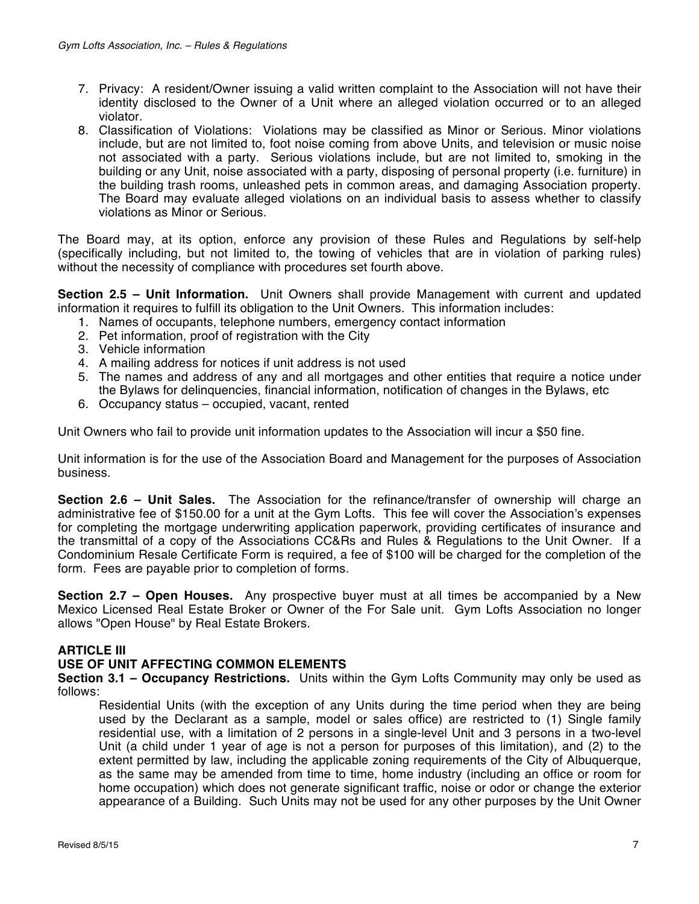- 7. Privacy: A resident/Owner issuing a valid written complaint to the Association will not have their identity disclosed to the Owner of a Unit where an alleged violation occurred or to an alleged violator.
- 8. Classification of Violations: Violations may be classified as Minor or Serious. Minor violations include, but are not limited to, foot noise coming from above Units, and television or music noise not associated with a party. Serious violations include, but are not limited to, smoking in the building or any Unit, noise associated with a party, disposing of personal property (i.e. furniture) in the building trash rooms, unleashed pets in common areas, and damaging Association property. The Board may evaluate alleged violations on an individual basis to assess whether to classify violations as Minor or Serious.

The Board may, at its option, enforce any provision of these Rules and Regulations by self-help (specifically including, but not limited to, the towing of vehicles that are in violation of parking rules) without the necessity of compliance with procedures set fourth above.

**Section 2.5 – Unit Information.** Unit Owners shall provide Management with current and updated information it requires to fulfill its obligation to the Unit Owners. This information includes:

- 1. Names of occupants, telephone numbers, emergency contact information
- 2. Pet information, proof of registration with the City
- 3. Vehicle information
- 4. A mailing address for notices if unit address is not used
- 5. The names and address of any and all mortgages and other entities that require a notice under the Bylaws for delinquencies, financial information, notification of changes in the Bylaws, etc
- 6. Occupancy status occupied, vacant, rented

Unit Owners who fail to provide unit information updates to the Association will incur a \$50 fine.

Unit information is for the use of the Association Board and Management for the purposes of Association business.

**Section 2.6 – Unit Sales.** The Association for the refinance/transfer of ownership will charge an administrative fee of \$150.00 for a unit at the Gym Lofts. This fee will cover the Association's expenses for completing the mortgage underwriting application paperwork, providing certificates of insurance and the transmittal of a copy of the Associations CC&Rs and Rules & Regulations to the Unit Owner. If a Condominium Resale Certificate Form is required, a fee of \$100 will be charged for the completion of the form. Fees are payable prior to completion of forms.

**Section 2.7 – Open Houses.** Any prospective buyer must at all times be accompanied by a New Mexico Licensed Real Estate Broker or Owner of the For Sale unit. Gym Lofts Association no longer allows "Open House" by Real Estate Brokers.

### **ARTICLE III**

#### **USE OF UNIT AFFECTING COMMON ELEMENTS**

**Section 3.1 – Occupancy Restrictions.** Units within the Gym Lofts Community may only be used as follows:

Residential Units (with the exception of any Units during the time period when they are being used by the Declarant as a sample, model or sales office) are restricted to (1) Single family residential use, with a limitation of 2 persons in a single-level Unit and 3 persons in a two-level Unit (a child under 1 year of age is not a person for purposes of this limitation), and (2) to the extent permitted by law, including the applicable zoning requirements of the City of Albuquerque, as the same may be amended from time to time, home industry (including an office or room for home occupation) which does not generate significant traffic, noise or odor or change the exterior appearance of a Building. Such Units may not be used for any other purposes by the Unit Owner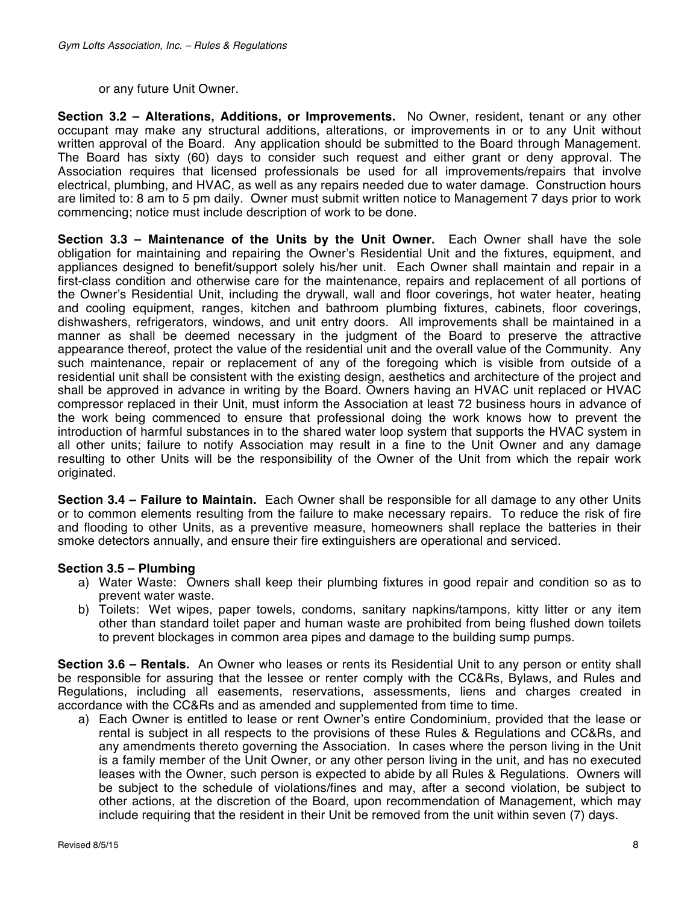#### or any future Unit Owner.

**Section 3.2 – Alterations, Additions, or Improvements.** No Owner, resident, tenant or any other occupant may make any structural additions, alterations, or improvements in or to any Unit without written approval of the Board. Any application should be submitted to the Board through Management. The Board has sixty (60) days to consider such request and either grant or deny approval. The Association requires that licensed professionals be used for all improvements/repairs that involve electrical, plumbing, and HVAC, as well as any repairs needed due to water damage. Construction hours are limited to: 8 am to 5 pm daily. Owner must submit written notice to Management 7 days prior to work commencing; notice must include description of work to be done.

**Section 3.3 – Maintenance of the Units by the Unit Owner.** Each Owner shall have the sole obligation for maintaining and repairing the Owner's Residential Unit and the fixtures, equipment, and appliances designed to benefit/support solely his/her unit. Each Owner shall maintain and repair in a first-class condition and otherwise care for the maintenance, repairs and replacement of all portions of the Owner's Residential Unit, including the drywall, wall and floor coverings, hot water heater, heating and cooling equipment, ranges, kitchen and bathroom plumbing fixtures, cabinets, floor coverings, dishwashers, refrigerators, windows, and unit entry doors. All improvements shall be maintained in a manner as shall be deemed necessary in the judgment of the Board to preserve the attractive appearance thereof, protect the value of the residential unit and the overall value of the Community. Any such maintenance, repair or replacement of any of the foregoing which is visible from outside of a residential unit shall be consistent with the existing design, aesthetics and architecture of the project and shall be approved in advance in writing by the Board. Owners having an HVAC unit replaced or HVAC compressor replaced in their Unit, must inform the Association at least 72 business hours in advance of the work being commenced to ensure that professional doing the work knows how to prevent the introduction of harmful substances in to the shared water loop system that supports the HVAC system in all other units; failure to notify Association may result in a fine to the Unit Owner and any damage resulting to other Units will be the responsibility of the Owner of the Unit from which the repair work originated.

**Section 3.4 – Failure to Maintain.** Each Owner shall be responsible for all damage to any other Units or to common elements resulting from the failure to make necessary repairs. To reduce the risk of fire and flooding to other Units, as a preventive measure, homeowners shall replace the batteries in their smoke detectors annually, and ensure their fire extinguishers are operational and serviced.

### **Section 3.5 – Plumbing**

- a) Water Waste: Owners shall keep their plumbing fixtures in good repair and condition so as to prevent water waste.
- b) Toilets: Wet wipes, paper towels, condoms, sanitary napkins/tampons, kitty litter or any item other than standard toilet paper and human waste are prohibited from being flushed down toilets to prevent blockages in common area pipes and damage to the building sump pumps.

**Section 3.6 – Rentals.** An Owner who leases or rents its Residential Unit to any person or entity shall be responsible for assuring that the lessee or renter comply with the CC&Rs, Bylaws, and Rules and Regulations, including all easements, reservations, assessments, liens and charges created in accordance with the CC&Rs and as amended and supplemented from time to time.

a) Each Owner is entitled to lease or rent Owner's entire Condominium, provided that the lease or rental is subject in all respects to the provisions of these Rules & Regulations and CC&Rs, and any amendments thereto governing the Association. In cases where the person living in the Unit is a family member of the Unit Owner, or any other person living in the unit, and has no executed leases with the Owner, such person is expected to abide by all Rules & Regulations. Owners will be subject to the schedule of violations/fines and may, after a second violation, be subject to other actions, at the discretion of the Board, upon recommendation of Management, which may include requiring that the resident in their Unit be removed from the unit within seven (7) days.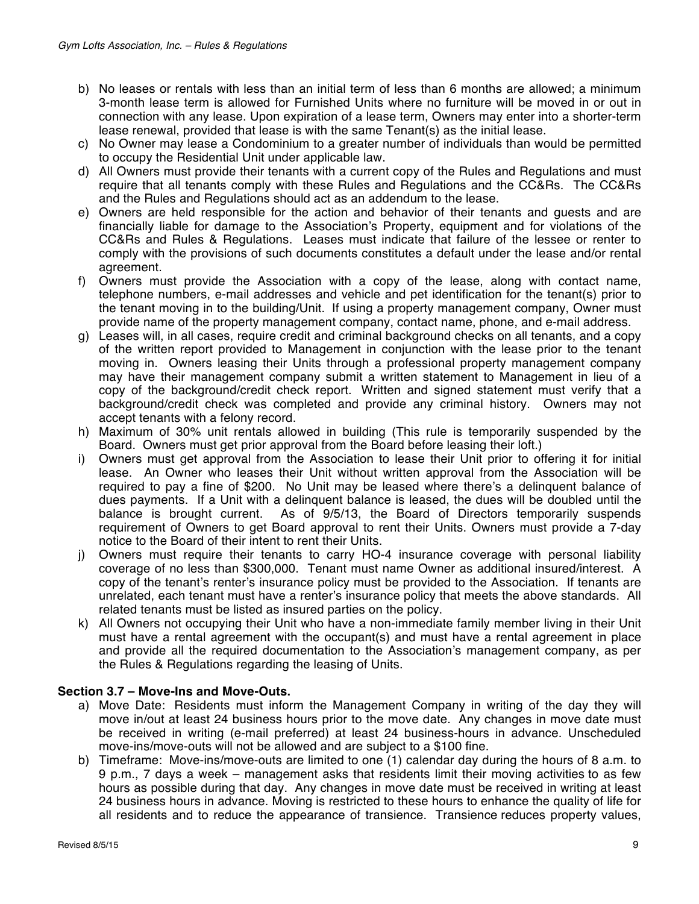- b) No leases or rentals with less than an initial term of less than 6 months are allowed; a minimum 3-month lease term is allowed for Furnished Units where no furniture will be moved in or out in connection with any lease. Upon expiration of a lease term, Owners may enter into a shorter-term lease renewal, provided that lease is with the same Tenant(s) as the initial lease.
- c) No Owner may lease a Condominium to a greater number of individuals than would be permitted to occupy the Residential Unit under applicable law.
- d) All Owners must provide their tenants with a current copy of the Rules and Regulations and must require that all tenants comply with these Rules and Regulations and the CC&Rs. The CC&Rs and the Rules and Regulations should act as an addendum to the lease.
- e) Owners are held responsible for the action and behavior of their tenants and guests and are financially liable for damage to the Association's Property, equipment and for violations of the CC&Rs and Rules & Regulations. Leases must indicate that failure of the lessee or renter to comply with the provisions of such documents constitutes a default under the lease and/or rental agreement.
- f) Owners must provide the Association with a copy of the lease, along with contact name, telephone numbers, e-mail addresses and vehicle and pet identification for the tenant(s) prior to the tenant moving in to the building/Unit. If using a property management company, Owner must provide name of the property management company, contact name, phone, and e-mail address.
- g) Leases will, in all cases, require credit and criminal background checks on all tenants, and a copy of the written report provided to Management in conjunction with the lease prior to the tenant moving in. Owners leasing their Units through a professional property management company may have their management company submit a written statement to Management in lieu of a copy of the background/credit check report. Written and signed statement must verify that a background/credit check was completed and provide any criminal history. Owners may not accept tenants with a felony record.
- h) Maximum of 30% unit rentals allowed in building (This rule is temporarily suspended by the Board. Owners must get prior approval from the Board before leasing their loft.)
- i) Owners must get approval from the Association to lease their Unit prior to offering it for initial lease. An Owner who leases their Unit without written approval from the Association will be required to pay a fine of \$200. No Unit may be leased where there's a delinquent balance of dues payments. If a Unit with a delinquent balance is leased, the dues will be doubled until the balance is brought current. As of 9/5/13, the Board of Directors temporarily suspends requirement of Owners to get Board approval to rent their Units. Owners must provide a 7-day notice to the Board of their intent to rent their Units.
- j) Owners must require their tenants to carry HO-4 insurance coverage with personal liability coverage of no less than \$300,000. Tenant must name Owner as additional insured/interest. A copy of the tenant's renter's insurance policy must be provided to the Association. If tenants are unrelated, each tenant must have a renter's insurance policy that meets the above standards. All related tenants must be listed as insured parties on the policy.
- k) All Owners not occupying their Unit who have a non-immediate family member living in their Unit must have a rental agreement with the occupant(s) and must have a rental agreement in place and provide all the required documentation to the Association's management company, as per the Rules & Regulations regarding the leasing of Units.

# **Section 3.7 – Move-Ins and Move-Outs.**

- a) Move Date: Residents must inform the Management Company in writing of the day they will move in/out at least 24 business hours prior to the move date. Any changes in move date must be received in writing (e-mail preferred) at least 24 business-hours in advance. Unscheduled move-ins/move-outs will not be allowed and are subject to a \$100 fine.
- b) Timeframe: Move-ins/move-outs are limited to one (1) calendar day during the hours of 8 a.m. to 9 p.m., 7 days a week – management asks that residents limit their moving activities to as few hours as possible during that day. Any changes in move date must be received in writing at least 24 business hours in advance. Moving is restricted to these hours to enhance the quality of life for all residents and to reduce the appearance of transience. Transience reduces property values,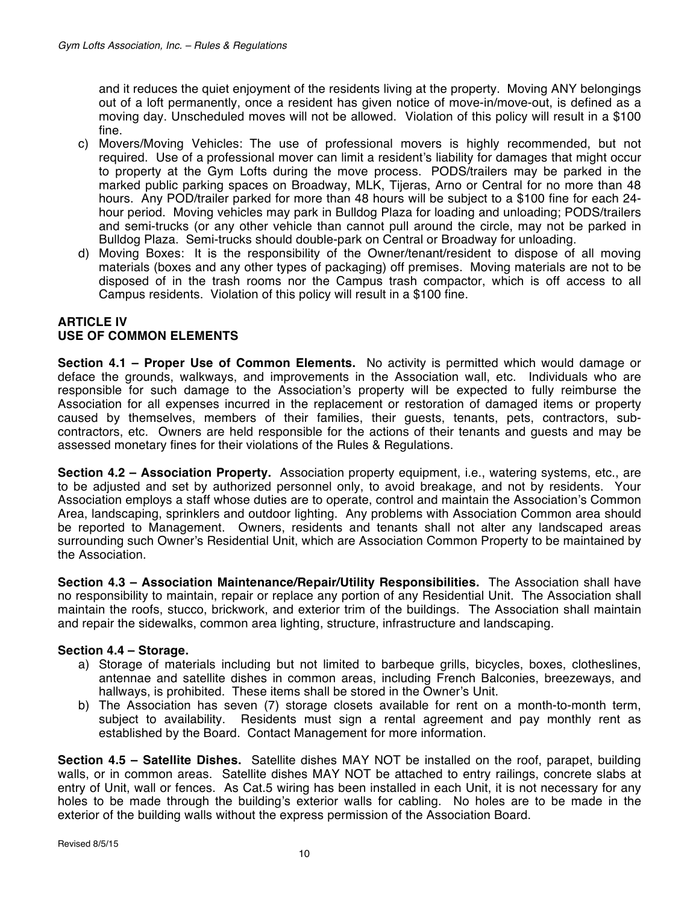and it reduces the quiet enjoyment of the residents living at the property. Moving ANY belongings out of a loft permanently, once a resident has given notice of move-in/move-out, is defined as a moving day. Unscheduled moves will not be allowed. Violation of this policy will result in a \$100 fine.

- c) Movers/Moving Vehicles: The use of professional movers is highly recommended, but not required. Use of a professional mover can limit a resident's liability for damages that might occur to property at the Gym Lofts during the move process. PODS/trailers may be parked in the marked public parking spaces on Broadway, MLK, Tijeras, Arno or Central for no more than 48 hours. Any POD/trailer parked for more than 48 hours will be subject to a \$100 fine for each 24 hour period. Moving vehicles may park in Bulldog Plaza for loading and unloading; PODS/trailers and semi-trucks (or any other vehicle than cannot pull around the circle, may not be parked in Bulldog Plaza. Semi-trucks should double-park on Central or Broadway for unloading.
- d) Moving Boxes: It is the responsibility of the Owner/tenant/resident to dispose of all moving materials (boxes and any other types of packaging) off premises. Moving materials are not to be disposed of in the trash rooms nor the Campus trash compactor, which is off access to all Campus residents. Violation of this policy will result in a \$100 fine.

## **ARTICLE IV USE OF COMMON ELEMENTS**

**Section 4.1 – Proper Use of Common Elements.** No activity is permitted which would damage or deface the grounds, walkways, and improvements in the Association wall, etc. Individuals who are responsible for such damage to the Association's property will be expected to fully reimburse the Association for all expenses incurred in the replacement or restoration of damaged items or property caused by themselves, members of their families, their guests, tenants, pets, contractors, subcontractors, etc. Owners are held responsible for the actions of their tenants and guests and may be assessed monetary fines for their violations of the Rules & Regulations.

**Section 4.2 – Association Property.** Association property equipment, i.e., watering systems, etc., are to be adjusted and set by authorized personnel only, to avoid breakage, and not by residents. Your Association employs a staff whose duties are to operate, control and maintain the Association's Common Area, landscaping, sprinklers and outdoor lighting. Any problems with Association Common area should be reported to Management. Owners, residents and tenants shall not alter any landscaped areas surrounding such Owner's Residential Unit, which are Association Common Property to be maintained by the Association.

**Section 4.3 – Association Maintenance/Repair/Utility Responsibilities.** The Association shall have no responsibility to maintain, repair or replace any portion of any Residential Unit. The Association shall maintain the roofs, stucco, brickwork, and exterior trim of the buildings. The Association shall maintain and repair the sidewalks, common area lighting, structure, infrastructure and landscaping.

## **Section 4.4 – Storage.**

- a) Storage of materials including but not limited to barbeque grills, bicycles, boxes, clotheslines, antennae and satellite dishes in common areas, including French Balconies, breezeways, and hallways, is prohibited. These items shall be stored in the Owner's Unit.
- b) The Association has seven (7) storage closets available for rent on a month-to-month term, subject to availability. Residents must sign a rental agreement and pay monthly rent as established by the Board. Contact Management for more information.

**Section 4.5 – Satellite Dishes.** Satellite dishes MAY NOT be installed on the roof, parapet, building walls, or in common areas. Satellite dishes MAY NOT be attached to entry railings, concrete slabs at entry of Unit, wall or fences. As Cat.5 wiring has been installed in each Unit, it is not necessary for any holes to be made through the building's exterior walls for cabling. No holes are to be made in the exterior of the building walls without the express permission of the Association Board.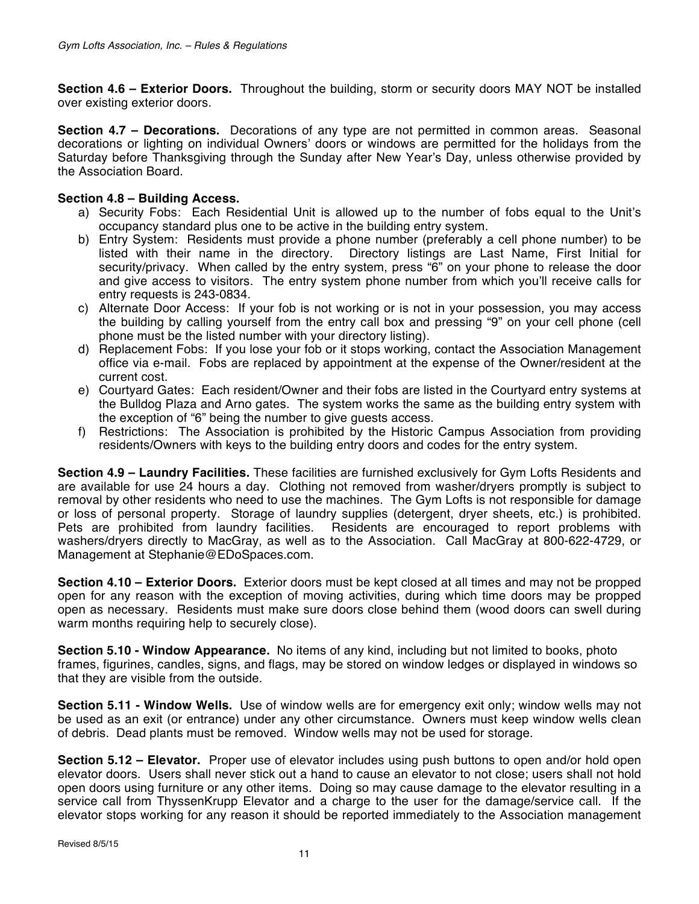**Section 4.6 – Exterior Doors.** Throughout the building, storm or security doors MAY NOT be installed over existing exterior doors.

**Section 4.7 – Decorations.** Decorations of any type are not permitted in common areas. Seasonal decorations or lighting on individual Owners' doors or windows are permitted for the holidays from the Saturday before Thanksgiving through the Sunday after New Year's Day, unless otherwise provided by the Association Board.

## **Section 4.8 – Building Access.**

- a) Security Fobs: Each Residential Unit is allowed up to the number of fobs equal to the Unit's occupancy standard plus one to be active in the building entry system.
- b) Entry System: Residents must provide a phone number (preferably a cell phone number) to be listed with their name in the directory. Directory listings are Last Name, First Initial for security/privacy. When called by the entry system, press "6" on your phone to release the door and give access to visitors. The entry system phone number from which you'll receive calls for entry requests is 243-0834.
- c) Alternate Door Access: If your fob is not working or is not in your possession, you may access the building by calling yourself from the entry call box and pressing "9" on your cell phone (cell phone must be the listed number with your directory listing).
- d) Replacement Fobs: If you lose your fob or it stops working, contact the Association Management office via e-mail. Fobs are replaced by appointment at the expense of the Owner/resident at the current cost.
- e) Courtyard Gates: Each resident/Owner and their fobs are listed in the Courtyard entry systems at the Bulldog Plaza and Arno gates. The system works the same as the building entry system with the exception of "6" being the number to give guests access.
- f) Restrictions: The Association is prohibited by the Historic Campus Association from providing residents/Owners with keys to the building entry doors and codes for the entry system.

**Section 4.9 – Laundry Facilities.** These facilities are furnished exclusively for Gym Lofts Residents and are available for use 24 hours a day. Clothing not removed from washer/dryers promptly is subject to removal by other residents who need to use the machines. The Gym Lofts is not responsible for damage or loss of personal property. Storage of laundry supplies (detergent, dryer sheets, etc.) is prohibited. Pets are prohibited from laundry facilities. Residents are encouraged to report problems with washers/dryers directly to MacGray, as well as to the Association. Call MacGray at 800-622-4729, or Management at Stephanie@EDoSpaces.com.

**Section 4.10 – Exterior Doors.** Exterior doors must be kept closed at all times and may not be propped open for any reason with the exception of moving activities, during which time doors may be propped open as necessary. Residents must make sure doors close behind them (wood doors can swell during warm months requiring help to securely close).

**Section 5.10 - Window Appearance.** No items of any kind, including but not limited to books, photo frames, figurines, candles, signs, and flags, may be stored on window ledges or displayed in windows so that they are visible from the outside.

**Section 5.11 - Window Wells.** Use of window wells are for emergency exit only; window wells may not be used as an exit (or entrance) under any other circumstance. Owners must keep window wells clean of debris. Dead plants must be removed. Window wells may not be used for storage.

**Section 5.12 – Elevator.** Proper use of elevator includes using push buttons to open and/or hold open elevator doors. Users shall never stick out a hand to cause an elevator to not close; users shall not hold open doors using furniture or any other items. Doing so may cause damage to the elevator resulting in a service call from ThyssenKrupp Elevator and a charge to the user for the damage/service call. If the elevator stops working for any reason it should be reported immediately to the Association management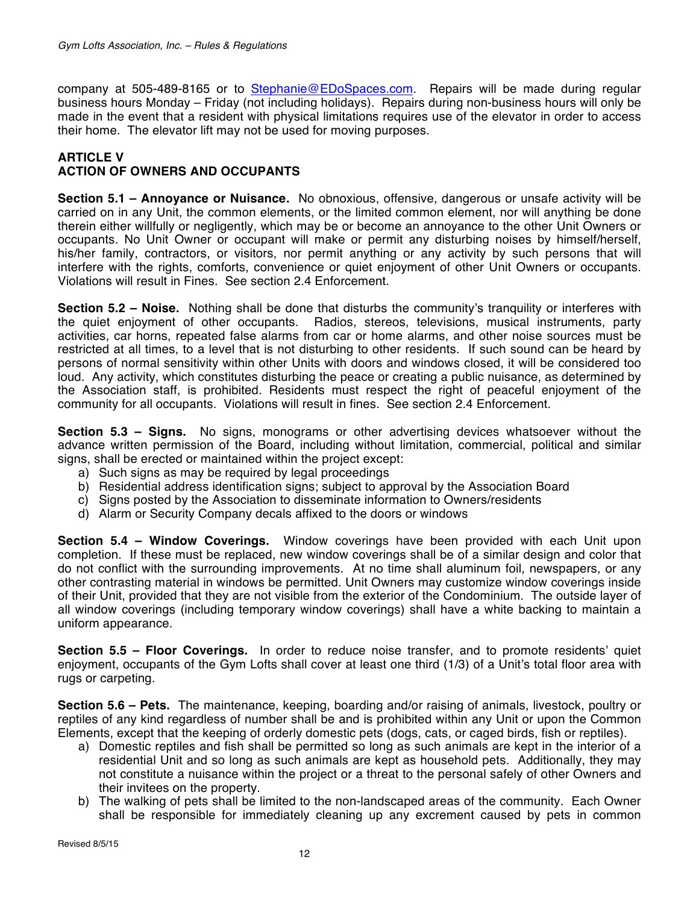company at 505-489-8165 or to Stephanie@EDoSpaces.com. Repairs will be made during regular business hours Monday – Friday (not including holidays). Repairs during non-business hours will only be made in the event that a resident with physical limitations requires use of the elevator in order to access their home. The elevator lift may not be used for moving purposes.

### **ARTICLE V ACTION OF OWNERS AND OCCUPANTS**

**Section 5.1 – Annoyance or Nuisance.** No obnoxious, offensive, dangerous or unsafe activity will be carried on in any Unit, the common elements, or the limited common element, nor will anything be done therein either willfully or negligently, which may be or become an annoyance to the other Unit Owners or occupants. No Unit Owner or occupant will make or permit any disturbing noises by himself/herself, his/her family, contractors, or visitors, nor permit anything or any activity by such persons that will interfere with the rights, comforts, convenience or quiet enjoyment of other Unit Owners or occupants. Violations will result in Fines. See section 2.4 Enforcement.

**Section 5.2 – Noise.** Nothing shall be done that disturbs the community's tranquility or interferes with the quiet enjoyment of other occupants. Radios, stereos, televisions, musical instruments, party activities, car horns, repeated false alarms from car or home alarms, and other noise sources must be restricted at all times, to a level that is not disturbing to other residents. If such sound can be heard by persons of normal sensitivity within other Units with doors and windows closed, it will be considered too loud. Any activity, which constitutes disturbing the peace or creating a public nuisance, as determined by the Association staff, is prohibited. Residents must respect the right of peaceful enjoyment of the community for all occupants. Violations will result in fines. See section 2.4 Enforcement.

**Section 5.3 – Signs.** No signs, monograms or other advertising devices whatsoever without the advance written permission of the Board, including without limitation, commercial, political and similar signs, shall be erected or maintained within the project except:

- a) Such signs as may be required by legal proceedings
- b) Residential address identification signs; subject to approval by the Association Board
- c) Signs posted by the Association to disseminate information to Owners/residents
- d) Alarm or Security Company decals affixed to the doors or windows

**Section 5.4 – Window Coverings.** Window coverings have been provided with each Unit upon completion. If these must be replaced, new window coverings shall be of a similar design and color that do not conflict with the surrounding improvements. At no time shall aluminum foil, newspapers, or any other contrasting material in windows be permitted. Unit Owners may customize window coverings inside of their Unit, provided that they are not visible from the exterior of the Condominium. The outside layer of all window coverings (including temporary window coverings) shall have a white backing to maintain a uniform appearance.

**Section 5.5 – Floor Coverings.** In order to reduce noise transfer, and to promote residents' quiet enjoyment, occupants of the Gym Lofts shall cover at least one third (1/3) of a Unit's total floor area with rugs or carpeting.

**Section 5.6 – Pets.** The maintenance, keeping, boarding and/or raising of animals, livestock, poultry or reptiles of any kind regardless of number shall be and is prohibited within any Unit or upon the Common Elements, except that the keeping of orderly domestic pets (dogs, cats, or caged birds, fish or reptiles).

- a) Domestic reptiles and fish shall be permitted so long as such animals are kept in the interior of a residential Unit and so long as such animals are kept as household pets. Additionally, they may not constitute a nuisance within the project or a threat to the personal safely of other Owners and their invitees on the property.
- b) The walking of pets shall be limited to the non-landscaped areas of the community. Each Owner shall be responsible for immediately cleaning up any excrement caused by pets in common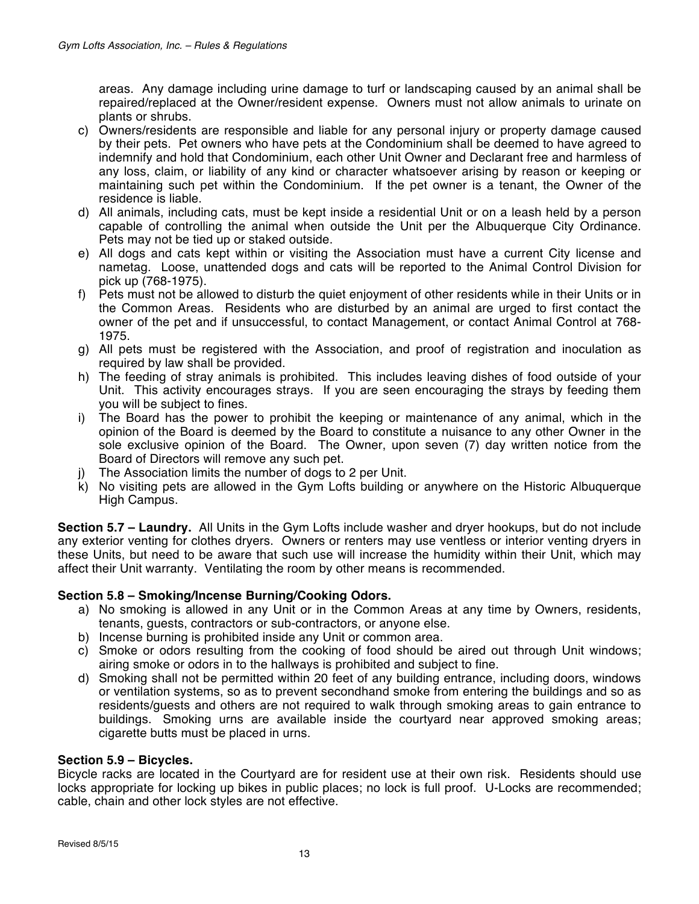areas. Any damage including urine damage to turf or landscaping caused by an animal shall be repaired/replaced at the Owner/resident expense. Owners must not allow animals to urinate on plants or shrubs.

- c) Owners/residents are responsible and liable for any personal injury or property damage caused by their pets. Pet owners who have pets at the Condominium shall be deemed to have agreed to indemnify and hold that Condominium, each other Unit Owner and Declarant free and harmless of any loss, claim, or liability of any kind or character whatsoever arising by reason or keeping or maintaining such pet within the Condominium. If the pet owner is a tenant, the Owner of the residence is liable.
- d) All animals, including cats, must be kept inside a residential Unit or on a leash held by a person capable of controlling the animal when outside the Unit per the Albuquerque City Ordinance. Pets may not be tied up or staked outside.
- e) All dogs and cats kept within or visiting the Association must have a current City license and nametag. Loose, unattended dogs and cats will be reported to the Animal Control Division for pick up (768-1975).
- f) Pets must not be allowed to disturb the quiet enjoyment of other residents while in their Units or in the Common Areas. Residents who are disturbed by an animal are urged to first contact the owner of the pet and if unsuccessful, to contact Management, or contact Animal Control at 768- 1975.
- g) All pets must be registered with the Association, and proof of registration and inoculation as required by law shall be provided.
- h) The feeding of stray animals is prohibited. This includes leaving dishes of food outside of your Unit. This activity encourages strays. If you are seen encouraging the strays by feeding them you will be subject to fines.
- i) The Board has the power to prohibit the keeping or maintenance of any animal, which in the opinion of the Board is deemed by the Board to constitute a nuisance to any other Owner in the sole exclusive opinion of the Board. The Owner, upon seven (7) day written notice from the Board of Directors will remove any such pet.
- j) The Association limits the number of dogs to 2 per Unit.
- k) No visiting pets are allowed in the Gym Lofts building or anywhere on the Historic Albuquerque High Campus.

**Section 5.7 – Laundry.** All Units in the Gym Lofts include washer and dryer hookups, but do not include any exterior venting for clothes dryers. Owners or renters may use ventless or interior venting dryers in these Units, but need to be aware that such use will increase the humidity within their Unit, which may affect their Unit warranty. Ventilating the room by other means is recommended.

## **Section 5.8 – Smoking/Incense Burning/Cooking Odors.**

- a) No smoking is allowed in any Unit or in the Common Areas at any time by Owners, residents, tenants, guests, contractors or sub-contractors, or anyone else.
- b) Incense burning is prohibited inside any Unit or common area.
- c) Smoke or odors resulting from the cooking of food should be aired out through Unit windows; airing smoke or odors in to the hallways is prohibited and subject to fine.
- d) Smoking shall not be permitted within 20 feet of any building entrance, including doors, windows or ventilation systems, so as to prevent secondhand smoke from entering the buildings and so as residents/guests and others are not required to walk through smoking areas to gain entrance to buildings. Smoking urns are available inside the courtyard near approved smoking areas; cigarette butts must be placed in urns.

### **Section 5.9 – Bicycles.**

Bicycle racks are located in the Courtyard are for resident use at their own risk. Residents should use locks appropriate for locking up bikes in public places; no lock is full proof. U-Locks are recommended; cable, chain and other lock styles are not effective.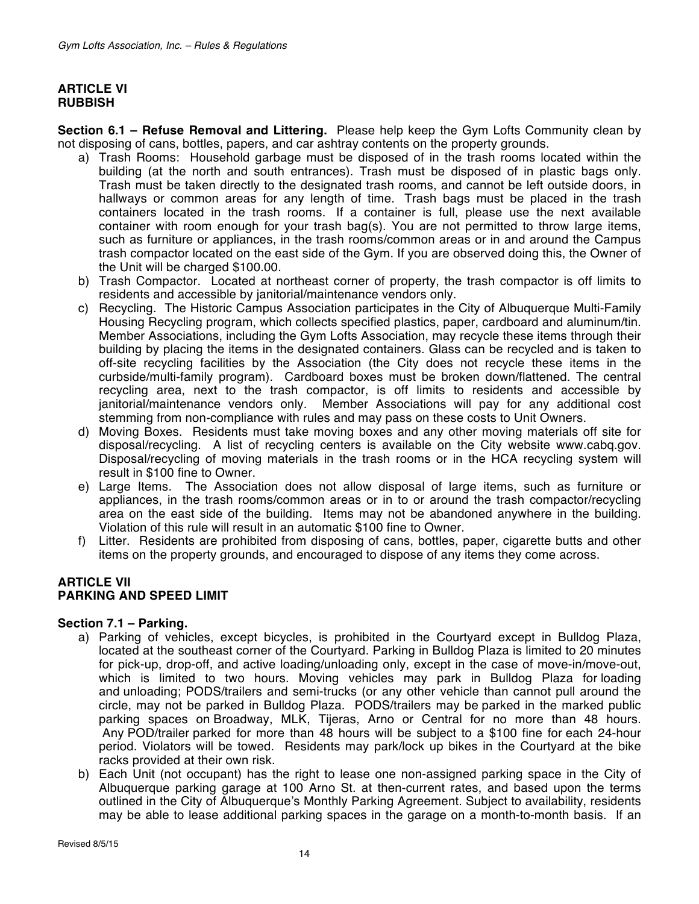### **ARTICLE VI RUBBISH**

**Section 6.1 – Refuse Removal and Littering.** Please help keep the Gym Lofts Community clean by not disposing of cans, bottles, papers, and car ashtray contents on the property grounds.

- a) Trash Rooms: Household garbage must be disposed of in the trash rooms located within the building (at the north and south entrances). Trash must be disposed of in plastic bags only. Trash must be taken directly to the designated trash rooms, and cannot be left outside doors, in hallways or common areas for any length of time. Trash bags must be placed in the trash containers located in the trash rooms. If a container is full, please use the next available container with room enough for your trash bag(s). You are not permitted to throw large items, such as furniture or appliances, in the trash rooms/common areas or in and around the Campus trash compactor located on the east side of the Gym. If you are observed doing this, the Owner of the Unit will be charged \$100.00.
- b) Trash Compactor. Located at northeast corner of property, the trash compactor is off limits to residents and accessible by janitorial/maintenance vendors only.
- c) Recycling. The Historic Campus Association participates in the City of Albuquerque Multi-Family Housing Recycling program, which collects specified plastics, paper, cardboard and aluminum/tin. Member Associations, including the Gym Lofts Association, may recycle these items through their building by placing the items in the designated containers. Glass can be recycled and is taken to off-site recycling facilities by the Association (the City does not recycle these items in the curbside/multi-family program). Cardboard boxes must be broken down/flattened. The central recycling area, next to the trash compactor, is off limits to residents and accessible by janitorial/maintenance vendors only. Member Associations will pay for any additional cost stemming from non-compliance with rules and may pass on these costs to Unit Owners.
- d) Moving Boxes. Residents must take moving boxes and any other moving materials off site for disposal/recycling. A list of recycling centers is available on the City website www.cabq.gov. Disposal/recycling of moving materials in the trash rooms or in the HCA recycling system will result in \$100 fine to Owner.
- e) Large Items. The Association does not allow disposal of large items, such as furniture or appliances, in the trash rooms/common areas or in to or around the trash compactor/recycling area on the east side of the building. Items may not be abandoned anywhere in the building. Violation of this rule will result in an automatic \$100 fine to Owner.
- f) Litter. Residents are prohibited from disposing of cans, bottles, paper, cigarette butts and other items on the property grounds, and encouraged to dispose of any items they come across.

#### **ARTICLE VII PARKING AND SPEED LIMIT**

### **Section 7.1 – Parking.**

- a) Parking of vehicles, except bicycles, is prohibited in the Courtyard except in Bulldog Plaza, located at the southeast corner of the Courtyard. Parking in Bulldog Plaza is limited to 20 minutes for pick-up, drop-off, and active loading/unloading only, except in the case of move-in/move-out, which is limited to two hours. Moving vehicles may park in Bulldog Plaza for loading and unloading; PODS/trailers and semi-trucks (or any other vehicle than cannot pull around the circle, may not be parked in Bulldog Plaza. PODS/trailers may be parked in the marked public parking spaces on Broadway, MLK, Tijeras, Arno or Central for no more than 48 hours. Any POD/trailer parked for more than 48 hours will be subject to a \$100 fine for each 24-hour period. Violators will be towed. Residents may park/lock up bikes in the Courtyard at the bike racks provided at their own risk.
- b) Each Unit (not occupant) has the right to lease one non-assigned parking space in the City of Albuquerque parking garage at 100 Arno St. at then-current rates, and based upon the terms outlined in the City of Albuquerque's Monthly Parking Agreement. Subject to availability, residents may be able to lease additional parking spaces in the garage on a month-to-month basis. If an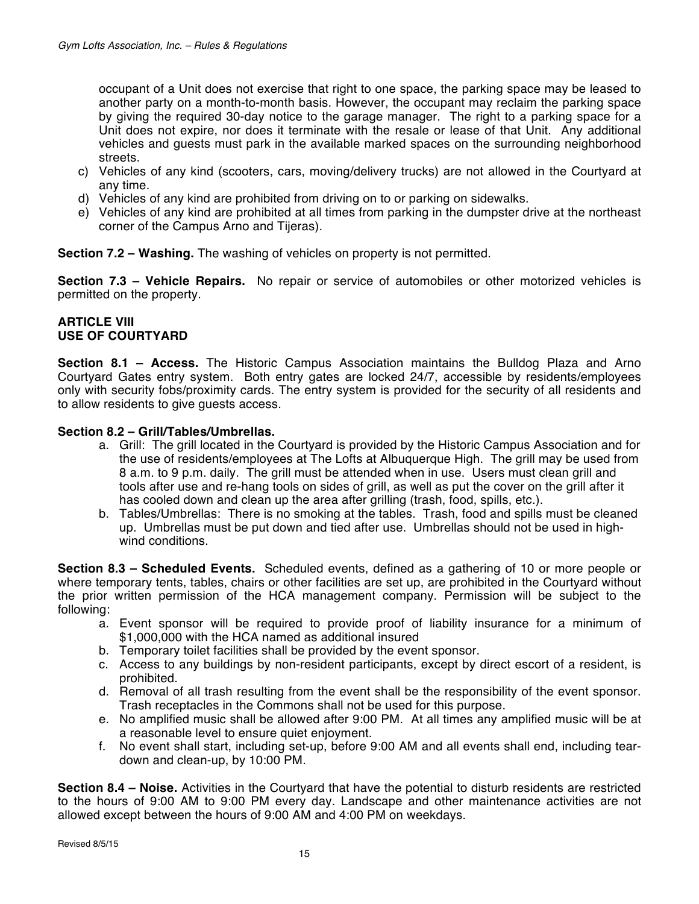occupant of a Unit does not exercise that right to one space, the parking space may be leased to another party on a month-to-month basis. However, the occupant may reclaim the parking space by giving the required 30-day notice to the garage manager. The right to a parking space for a Unit does not expire, nor does it terminate with the resale or lease of that Unit. Any additional vehicles and guests must park in the available marked spaces on the surrounding neighborhood streets.

- c) Vehicles of any kind (scooters, cars, moving/delivery trucks) are not allowed in the Courtyard at any time.
- d) Vehicles of any kind are prohibited from driving on to or parking on sidewalks.
- e) Vehicles of any kind are prohibited at all times from parking in the dumpster drive at the northeast corner of the Campus Arno and Tijeras).

**Section 7.2 – Washing.** The washing of vehicles on property is not permitted.

**Section 7.3 – Vehicle Repairs.** No repair or service of automobiles or other motorized vehicles is permitted on the property.

## **ARTICLE VIII USE OF COURTYARD**

**Section 8.1 – Access.** The Historic Campus Association maintains the Bulldog Plaza and Arno Courtyard Gates entry system. Both entry gates are locked 24/7, accessible by residents/employees only with security fobs/proximity cards. The entry system is provided for the security of all residents and to allow residents to give guests access.

### **Section 8.2 – Grill/Tables/Umbrellas.**

- a. Grill: The grill located in the Courtyard is provided by the Historic Campus Association and for the use of residents/employees at The Lofts at Albuquerque High. The grill may be used from 8 a.m. to 9 p.m. daily. The grill must be attended when in use. Users must clean grill and tools after use and re-hang tools on sides of grill, as well as put the cover on the grill after it has cooled down and clean up the area after grilling (trash, food, spills, etc.).
- b. Tables/Umbrellas: There is no smoking at the tables. Trash, food and spills must be cleaned up. Umbrellas must be put down and tied after use. Umbrellas should not be used in highwind conditions.

**Section 8.3 – Scheduled Events.** Scheduled events, defined as a gathering of 10 or more people or where temporary tents, tables, chairs or other facilities are set up, are prohibited in the Courtyard without the prior written permission of the HCA management company. Permission will be subject to the following:

- a. Event sponsor will be required to provide proof of liability insurance for a minimum of \$1,000,000 with the HCA named as additional insured
- b. Temporary toilet facilities shall be provided by the event sponsor.
- c. Access to any buildings by non-resident participants, except by direct escort of a resident, is prohibited.
- d. Removal of all trash resulting from the event shall be the responsibility of the event sponsor. Trash receptacles in the Commons shall not be used for this purpose.
- e. No amplified music shall be allowed after 9:00 PM. At all times any amplified music will be at a reasonable level to ensure quiet enjoyment.
- f. No event shall start, including set-up, before 9:00 AM and all events shall end, including teardown and clean-up, by 10:00 PM.

**Section 8.4 – Noise.** Activities in the Courtyard that have the potential to disturb residents are restricted to the hours of 9:00 AM to 9:00 PM every day. Landscape and other maintenance activities are not allowed except between the hours of 9:00 AM and 4:00 PM on weekdays.